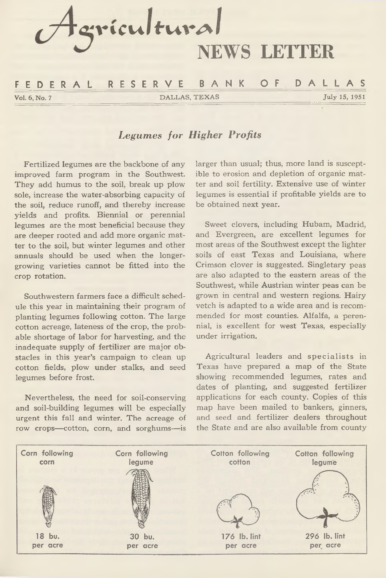

# *Legumes for Higher Profits*

**Fertilized legumes are the backbone of any improved farm program in the Southwest. They add humus to the soil, break up plow sole, increase the water-absorbing capacity of the soil, reduce runoff, and thereby increase yields and profits. Biennial or perennial legumes are the most beneficial because they are deeper rooted and add more organic matter to the soil, but winter legumes and other annuals should be used when the longergrowing varieties cannot be fitted into the crop rotation.**

**Southwestern farmers face a difficult schedule this year in maintaining their program of planting legumes following cotton. The large cotton acreage, lateness of the crop, the probable shortage of labor for harvesting, and the inadequate supply of fertilizer are major obstacles in this year's campaign to clean up cotton fields, plow under stalks, and seed legumes before frost.**

**Nevertheless, the need for soil-conserving and soil-building legumes will be especially urgent this fall and winter. The acreage of row crops—cotton, corn, and sorghums—is** **larger than usual; thus, more land is susceptible to erosion and depletion of organic matter and soil fertility. Extensive use of winter legumes is essential if profitable yields are to be obtained next year.**

**Sweet clovers, including Hubam, Madrid, and Evergreen, are excellent legumes for most areas of the Southwest except the lighter soils of east Texas and Louisiana, where Crimson clover is suggested. Singletary peas are also adapted to the eastern areas of the Southwest, while Austrian winter peas can be grown in central and western regions. Hairy vetch is adapted to a wide area and is recommended for most counties. Alfalfa, a perennial, is excellent for west Texas, especially under irrigation.**

Agricultural leaders and specialists in **Texas have prepared a map of the State showing recommended legumes, rates and dates of planting, and suggested fertilizer applications for each county. Copies of this map have been mailed to bankers, ginners, and seed and fertilizer dealers throughout the State and are also available from county**

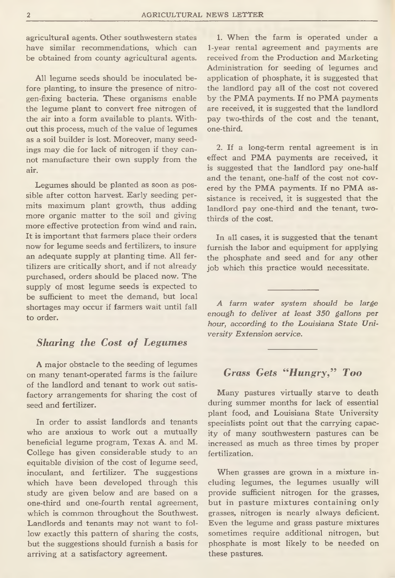**agricultural agents. Other southwestern states have similar recommendations, which can be obtained from county agricultural agents.**

**All legume seeds should be inoculated before planting, to insure the presence of nitrogen-fixing bacteria. These organisms enable the legume plant to convert free nitrogen of the air into a form available to plants. Without this process, much of the value of legumes as a soil builder is lost. Moreover, many seedings may die for lack of nitrogen if they cannot manufacture their own supply from the air.**

**Legumes should be planted as soon as possible after cotton harvest. Early seeding permits maximum plant growth, thus adding more organic matter to the soil and giving more effective protection from wind and rain. It is important that farmers place their orders now for legume seeds and fertilizers, to insure an adequate supply at planting time. All fertilizers are critically short, and if not already purchased, orders should be placed now. The supply of most legume seeds is expected to be sufficient to meet the demand, but local shortages may occur if farmers wait until fall to order.**

#### *Sharing the Cost of Legumes*

**A major obstacle to the seeding of legumes on many tenant-operated farms is the failure of the landlord and tenant to work out satisfactory arrangements for sharing the cost of seed and fertilizer.**

**In order to assist landlords and tenants who are anxious to work out a mutually beneficial legume program, Texas A. and M. College has given considerable study to an equitable division of the cost of legume seed, inoculant, and fertilizer. The suggestions which have been developed through this study are given below and are based on a one-third and one-fourth rental agreement, which is common throughout the Southwest. Landlords and tenants may not want to follow exactly this pattern of sharing the costs, but the suggestions should furnish a basis for arriving at a satisfactory agreement.**

**1. When the farm is operated under a 1-year rental agreement and payments are received from the Production and Marketing Administration for seeding of legumes and application of phosphate, it is suggested that the landlord pay all of the cost not covered by the PMA payments. If no PMA payments are received, it is suggested that the landlord pay two-thirds of the cost and the tenant, one-third.**

**2. If a long-term rental agreement is in effect and PMA payments are received, it is suggested that the landlord pay one-half and the tenant, one-half of the cost not covered by the PMA payments. If no PMA assistance is received, it is suggested that the landlord pay one-third and the tenant, twothirds of the cost.**

**In all cases, it is suggested that the tenant furnish the labor and equipment for applying the phosphate and seed and for any other job which this practice would necessitate.**

*A farm water system should be large enough to deliver at least 350 gallons per hour, according to the Louisiana State University Extension service.*

## *Grass Gets "Hungry," Too*

**Many pastures virtually starve to death during summer months for lack of essential plant food, and Louisiana State University specialists point out that the carrying capacity of many southwestern pastures can be increased as much as three times by proper fertilization.**

**When grasses are grown in a mixture including legumes, the legumes usually will provide sufficient nitrogen for the grasses, but in pasture mixtures containing only grasses, nitrogen is nearly always deficient. Even the legume and grass pasture mixtures sometimes require additional nitrogen, but phosphate is most likely to be needed on these pastures.**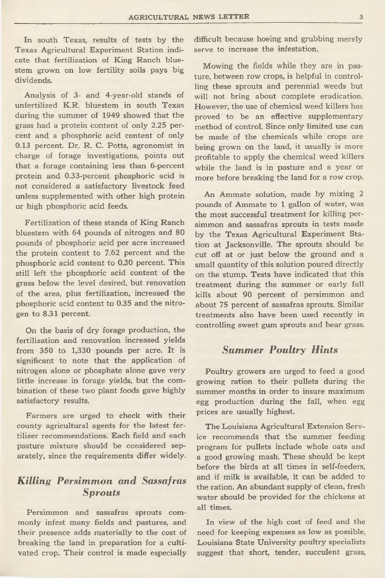**In south Texas, results of tests by the Texas Agricultural Experiment Station indicate that fertilization of King Ranch bluestem grown on low fertility soils pays big dividends.**

**Analysis of 3- and 4-year-old stands of unfertilized K.R. bluestem in south Texas during the summer of 1949 showed that the grass had a protein content of only 2.25 percent and a phosphoric acid content of only 0.13 percent. Dr. R. C. Potts, agronomist in charge of forage investigations, points out that a forage containing less than 6-percent protein and 0.33-percent phosphoric acid is not considered a satisfactory livestock feed unless supplemented with other high protein or high phosphoric acid feeds.**

**Fertilization of these stands of King Ranch bluestem with 64 pounds of nitrogen and 80 pounds of phosphoric acid per acre increased the protein content to 7.62 percent and the phosphoric acid content to 0.30 percent. This still left the phosphoric acid content of the grass below the level desired, but renovation of the area, plus fertilization, increased the phosphoric acid content to 0.35 and the nitrogen to 8.31 percent.**

**On the basis of dry forage production, the fertilization and renovation increased yields from 350 to 1,330 pounds per acre. It is significant to note that the application of nitrogen alone or phosphate alone gave very little increase in forage yields, but the combination of these two plant foods gave highly satisfactory results.**

**Farmers are urged to check with their county agricultural agents for the latest fertilizer recommendations. Each field and each pasture mixture should be considered separately, since the requirements differ widely.**

### *Killing Persimmon and Sassafras Sprouts*

**Persimmon and sassafras sprouts commonly infest many fields and pastures, and their presence adds materially to the cost of breaking the land in preparation for a cultivated crop. Their control is made especially**

**difficult because hoeing and grubbing merely serve to increase the infestation.**

**Mowing the fields while they are in pasture, between row crops, is helpful in controlling these sprouts and perennial weeds but will not bring about complete eradication. However, the use of chemical weed killers has proved to be an effective supplementary method of control. Since only limited use can be made of the chemicals while crops are being grown on the land, it usually is more profitable to apply the chemical weed killers while the land is in pasture and a year or more before breaking the land for a row crop.**

**An Ammate solution, made by mixing 2 pounds of Ammate to 1 gallon of water, was the most successful treatment for killing persimmon and sassafras sprouts in tests made by the Texas Agricultural Experiment Station at Jacksonville. The sprouts should be cut off at or just below the ground and a small quantity of this solution poured directly on the stump. Tests have indicated that this treatment during the summer or early fall kills about 90 percent of persimmon and about 75 percent of sassafras sprouts. Similar treatments also have been used recently in controlling sweet gum sprouts and bear grass.**

#### *Summer Poultry Hints*

**Poultry growers are urged to feed a good growing ration to their pullets during the summer months in order to insure maximum egg production during the fall, when egg prices are usually highest.**

**The Louisiana Agricultural Extension Service recommends that the summer feeding program for pullets include whole oats and a good growing mash. These should be kept before the birds at all times in self-feeders, and if milk is available, it can be added to the ration. An abundant supply of clean, fresh water should be provided for the chickens at all times.**

**In view of the high cost of feed and the need for keeping expenses as low as possible, Louisiana State University poultry specialists suggest that short, tender, succulent grass,**